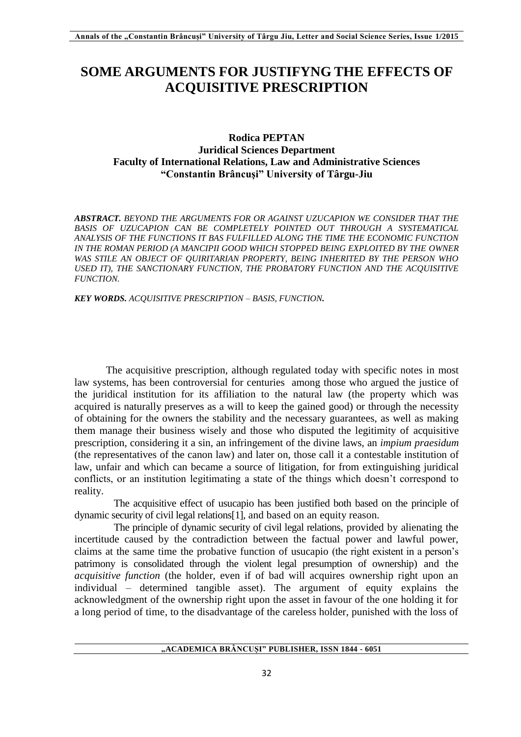## **SOME ARGUMENTS FOR JUSTIFYNG THE EFFECTS OF ACQUISITIVE PRESCRIPTION**

## **Rodica PEPTAN Juridical Sciences Department Faculty of International Relations, Law and Administrative Sciences "Constantin Brâncuşi" University of Târgu-Jiu**

*ABSTRACT. BEYOND THE ARGUMENTS FOR OR AGAINST UZUCAPION WE CONSIDER THAT THE BASIS OF UZUCAPION CAN BE COMPLETELY POINTED OUT THROUGH A SYSTEMATICAL ANALYSIS OF THE FUNCTIONS IT BAS FULFILLED ALONG THE TIME THE ECONOMIC FUNCTION IN THE ROMAN PERIOD (A MANCIPII GOOD WHICH STOPPED BEING EXPLOITED BY THE OWNER WAS STILE AN OBJECT OF QUIRITARIAN PROPERTY, BEING INHERITED BY THE PERSON WHO*  USED IT), THE SANCTIONARY FUNCTION, THE PROBATORY FUNCTION AND THE ACQUISITIVE *FUNCTION.*

*KEY WORDS. ACQUISITIVE PRESCRIPTION – BASIS, FUNCTION.*

The acquisitive prescription, although regulated today with specific notes in most law systems, has been controversial for centuries among those who argued the justice of the juridical institution for its affiliation to the natural law (the property which was acquired is naturally preserves as a will to keep the gained good) or through the necessity of obtaining for the owners the stability and the necessary guarantees, as well as making them manage their business wisely and those who disputed the legitimity of acquisitive prescription, considering it a sin, an infringement of the divine laws, an *impium praesidum* (the representatives of the canon law) and later on, those call it a contestable institution of law, unfair and which can became a source of litigation, for from extinguishing juridical conflicts, or an institution legitimating a state of the things which doesn't correspond to reality.

The acquisitive effect of usucapio has been justified both based on the principle of dynamic security of civil legal relations[1], and based on an equity reason*.*

The principle of dynamic security of civil legal relations, provided by alienating the incertitude caused by the contradiction between the factual power and lawful power, claims at the same time the probative function of usucapio (the right existent in a person's patrimony is consolidated through the violent legal presumption of ownership) and the *acquisitive function* (the holder, even if of bad will acquires ownership right upon an individual – determined tangible asset). The argument of equity explains the acknowledgment of the ownership right upon the asset in favour of the one holding it for a long period of time, to the disadvantage of the careless holder, punished with the loss of

**"ACADEMICA BRÂNCUȘI" PUBLISHER, ISSN 1844 - 6051**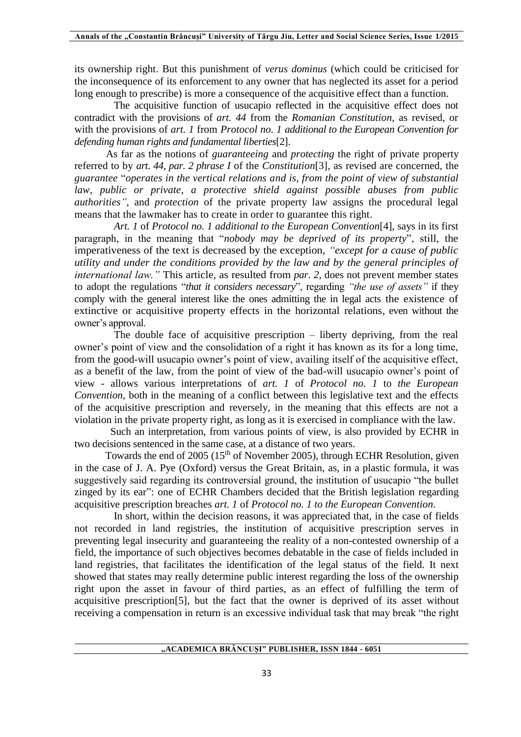its ownership right. But this punishment of *verus dominus* (which could be criticised for the inconsequence of its enforcement to any owner that has neglected its asset for a period long enough to prescribe) is more a consequence of the acquisitive effect than a function.

The acquisitive function of usucapio reflected in the acquisitive effect does not contradict with the provisions of *art. 44* from the *Romanian Constitution*, as revised, or with the provisions of *art. 1* from *Protocol no. 1 additional to the European Convention for defending human rights and fundamental liberties*[2].

As far as the notions of *guaranteeing* and *protecting* the right of private property referred to by *art. 44, par. 2 phrase I* of the *Constitution*[3], as revised are concerned, the *guarantee* "*operates in the vertical relations and is, from the point of view of substantial law, public or private, a protective shield against possible abuses from public authorities",* and *protection* of the private property law assigns the procedural legal means that the lawmaker has to create in order to guarantee this right.

*Art. 1* of *Protocol no. 1 additional to the European Convention*[4], says in its first paragraph, in the meaning that "*nobody may be deprived of its property*", still*,* the imperativeness of the text is decreased by the exception, *"except for a cause of public utility and under the conditions provided by the law and by the general principles of international law."* This article, as resulted from *par. 2*, does not prevent member states to adopt the regulations "*that it considers necessary*", regarding *"the use of assets"* if they comply with the general interest like the ones admitting the in legal acts the existence of extinctive or acquisitive property effects in the horizontal relations, even without the owner's approval.

The double face of acquisitive prescription – liberty depriving, from the real owner's point of view and the consolidation of a right it has known as its for a long time, from the good-will usucapio owner's point of view, availing itself of the acquisitive effect, as a benefit of the law, from the point of view of the bad-will usucapio owner's point of view - allows various interpretations of *art. 1* of *Protocol no. 1* to *the European Convention,* both in the meaning of a conflict between this legislative text and the effects of the acquisitive prescription and reversely, in the meaning that this effects are not a violation in the private property right, as long as it is exercised in compliance with the law.

 Such an interpretation, from various points of view, is also provided by ECHR in two decisions sentenced in the same case, at a distance of two years.

Towards the end of 2005 (15<sup>th</sup> of November 2005), through ECHR Resolution, given in the case of J. A. Pye (Oxford) versus the Great Britain, as, in a plastic formula, it was suggestively said regarding its controversial ground, the institution of usucapio "the bullet zinged by its ear": one of ECHR Chambers decided that the British legislation regarding acquisitive prescription breaches *art. 1* of *Protocol no. 1 to the European Convention*.

In short, within the decision reasons, it was appreciated that, in the case of fields not recorded in land registries, the institution of acquisitive prescription serves in preventing legal insecurity and guaranteeing the reality of a non-contested ownership of a field, the importance of such objectives becomes debatable in the case of fields included in land registries, that facilitates the identification of the legal status of the field. It next showed that states may really determine public interest regarding the loss of the ownership right upon the asset in favour of third parties, as an effect of fulfilling the term of acquisitive prescription[5], but the fact that the owner is deprived of its asset without receiving a compensation in return is an excessive individual task that may break "the right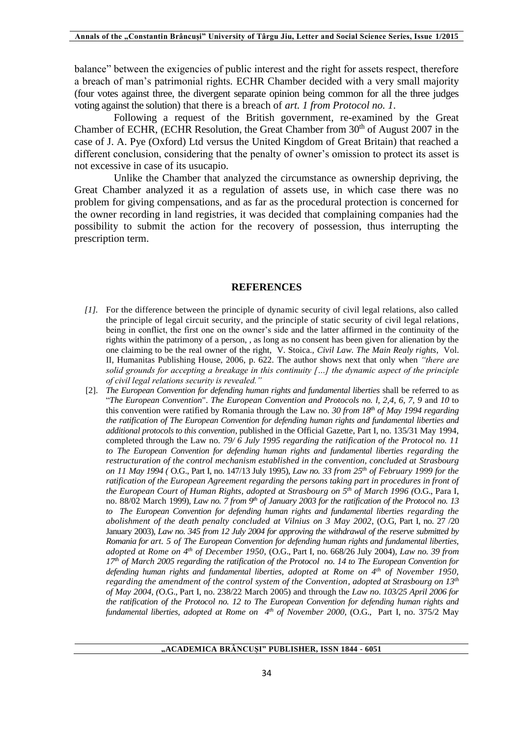balance" between the exigencies of public interest and the right for assets respect, therefore a breach of man's patrimonial rights*.* ECHR Chamber decided with a very small majority (four votes against three, the divergent separate opinion being common for all the three judges voting against the solution) that there is a breach of *art. 1 from Protocol no. 1*.

Following a request of the British government, re-examined by the Great Chamber of ECHR, (ECHR Resolution, the Great Chamber from  $30<sup>th</sup>$  of August 2007 in the case of J. A. Pye (Oxford) Ltd versus the United Kingdom of Great Britain) that reached a different conclusion, considering that the penalty of owner's omission to protect its asset is not excessive in case of its usucapio.

Unlike the Chamber that analyzed the circumstance as ownership depriving, the Great Chamber analyzed it as a regulation of assets use, in which case there was no problem for giving compensations, and as far as the procedural protection is concerned for the owner recording in land registries, it was decided that complaining companies had the possibility to submit the action for the recovery of possession, thus interrupting the prescription term.

## **REFERENCES**

- *[1].* For the difference between the principle of dynamic security of civil legal relations, also called the principle of legal circuit security, and the principle of static security of civil legal relations, being in conflict, the first one on the owner's side and the latter affirmed in the continuity of the rights within the patrimony of a person, , as long as no consent has been given for alienation by the one claiming to be the real owner of the right, V. Stoica., *Civil Law. The Main Realy rights*, Vol. II, Humanitas Publishing House, 2006, p. 622. The author shows next that only when *"there are solid grounds for accepting a breakage in this continuity […] the dynamic aspect of the principle of civil legal relations security is revealed."*
- [2]. *The European Convention for defending human rights and fundamental liberties shall be referred to as* "*The European Convention*". *The European Convention and Protocols no. l, 2,4, 6, 7, 9* and *10* to this convention were ratified by Romania through the Law no*. 30 from 18th of May 1994 regarding the ratification of The European Convention for defending human rights and fundamental liberties and additional protocols to this convention*, published in the Official Gazette, Part I, no. 135/31 May 1994, completed through the Law no*. 79/ 6 July 1995 regarding the ratification of the Protocol no. 11 to The European Convention for defending human rights and fundamental liberties regarding the restructuration of the control mechanism established in the convention, concluded at Strasbourg on 11 May 1994 (* O.G., Part I, no. 147/13 July 1995), *Law no. 33 from 25th of February 1999 for the ratification of the European Agreement regarding the persons taking part in procedures in front of the European Court of Human Rights, adopted at Strasbourg on 5th of March 1996 (*O.G., Para I, no. 88/02 March 1999), *Law no. 7 from 9th of January 2003 for the ratification of the Protocol no. 13 to The European Convention for defending human rights and fundamental liberties regarding the abolishment of the death penalty concluded at Vilnius on 3 May 2002*, (O.G, Part I, no. 27 /20 January 2003), *Law no. 345 from 12 July 2004 for approving the withdrawal of the reserve submitted by Romania for art. 5 of The European Convention for defending human rights and fundamental liberties, adopted at Rome on 4th of December 1950*, (O.G., Part I, no. 668/26 July 2004), *Law no. 39 from 17th of March 2005 regarding the ratification of the Protocol no. 14 to The European Convention for defending human rights and fundamental liberties, adopted at Rome on 4th of November 1950, regarding the amendment of the control system of the Convention, adopted at Strasbourg on 13th of May 2004, (*O.G., Part I, no. 238/22 March 2005) and through the *Law no. 103/25 April 2006 for the ratification of the Protocol no. 12 to The European Convention for defending human rights and fundamental liberties, adopted at Rome on 4th of November 2000*, (O.G., Part I, no. 375/2 May